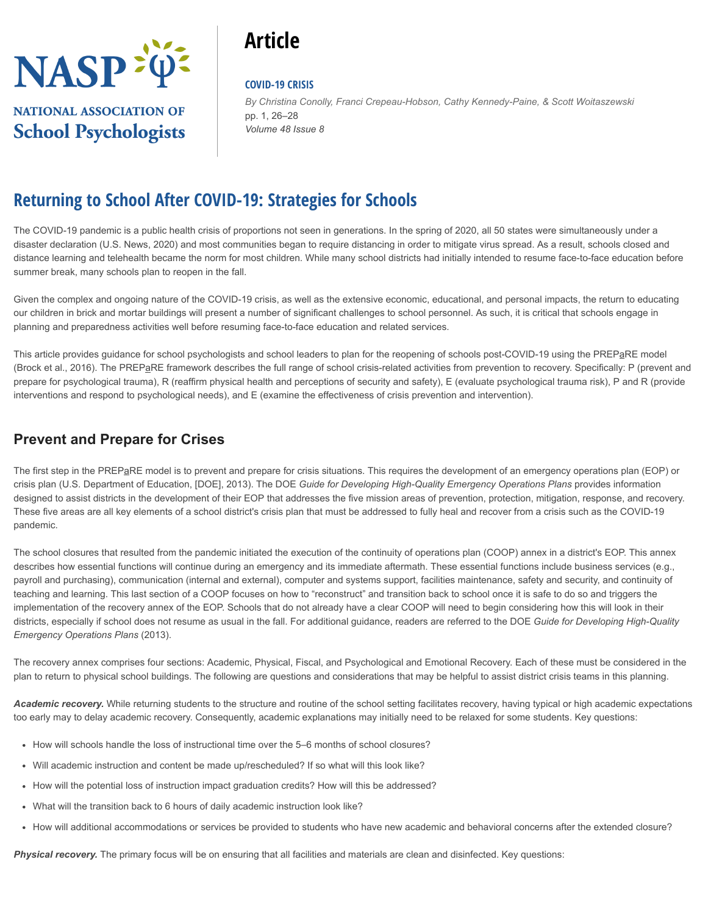

# **NATIONAL ASSOCIATION OF School Psychologists**

# **Article**

#### **COVID-19 CRISIS**

pp. 1, 26–28 *Volume 48 Issue 8 By Christina Conolly, Franci Crepeau-Hobson, Cathy Kennedy-Paine, & Scott Woitaszewski*

# **Returning to School After COVID-19: Strategies for Schools**

The COVID-19 pandemic is a public health crisis of proportions not seen in generations. In the spring of 2020, all 50 states were simultaneously under a disaster declaration (U.S. News, 2020) and most communities began to require distancing in order to mitigate virus spread. As a result, schools closed and distance learning and telehealth became the norm for most children. While many school districts had initially intended to resume face-to-face education before summer break, many schools plan to reopen in the fall.

Given the complex and ongoing nature of the COVID-19 crisis, as well as the extensive economic, educational, and personal impacts, the return to educating our children in brick and mortar buildings will present a number of significant challenges to school personnel. As such, it is critical that schools engage in planning and preparedness activities well before resuming face-to-face education and related services.

This article provides guidance for school psychologists and school leaders to plan for the reopening of schools post-COVID-19 using the PREPaRE model (Brock et al., 2016). The PREPaRE framework describes the full range of school crisis-related activities from prevention to recovery. Specifically: P (prevent and prepare for psychological trauma), R (reaffirm physical health and perceptions of security and safety), E (evaluate psychological trauma risk), P and R (provide interventions and respond to psychological needs), and E (examine the effectiveness of crisis prevention and intervention).

### **Prevent and Prepare for Crises**

The first step in the PREPaRE model is to prevent and prepare for crisis situations. This requires the development of an emergency operations plan (EOP) or crisis plan (U.S. Department of Education, [DOE], 2013). The DOE *Guide for Developing High-Quality Emergency Operations Plans* provides information designed to assist districts in the development of their EOP that addresses the five mission areas of prevention, protection, mitigation, response, and recovery. These five areas are all key elements of a school district's crisis plan that must be addressed to fully heal and recover from a crisis such as the COVID-19 pandemic.

The school closures that resulted from the pandemic initiated the execution of the continuity of operations plan (COOP) annex in a district's EOP. This annex describes how essential functions will continue during an emergency and its immediate aftermath. These essential functions include business services (e.g., payroll and purchasing), communication (internal and external), computer and systems support, facilities maintenance, safety and security, and continuity of teaching and learning. This last section of a COOP focuses on how to "reconstruct" and transition back to school once it is safe to do so and triggers the implementation of the recovery annex of the EOP. Schools that do not already have a clear COOP will need to begin considering how this will look in their districts, especially if school does not resume as usual in the fall. For additional guidance, readers are referred to the DOE *Guide for Developing High-Quality Emergency Operations Plans* (2013).

The recovery annex comprises four sections: Academic, Physical, Fiscal, and Psychological and Emotional Recovery. Each of these must be considered in the plan to return to physical school buildings. The following are questions and considerations that may be helpful to assist district crisis teams in this planning.

Academic recovery. While returning students to the structure and routine of the school setting facilitates recovery, having typical or high academic expectations too early may to delay academic recovery. Consequently, academic explanations may initially need to be relaxed for some students. Key questions:

- How will schools handle the loss of instructional time over the 5–6 months of school closures?
- Will academic instruction and content be made up/rescheduled? If so what will this look like?
- How will the potential loss of instruction impact graduation credits? How will this be addressed?
- What will the transition back to 6 hours of daily academic instruction look like?
- How will additional accommodations or services be provided to students who have new academic and behavioral concerns after the extended closure?

**Physical recovery.** The primary focus will be on ensuring that all facilities and materials are clean and disinfected. Key questions: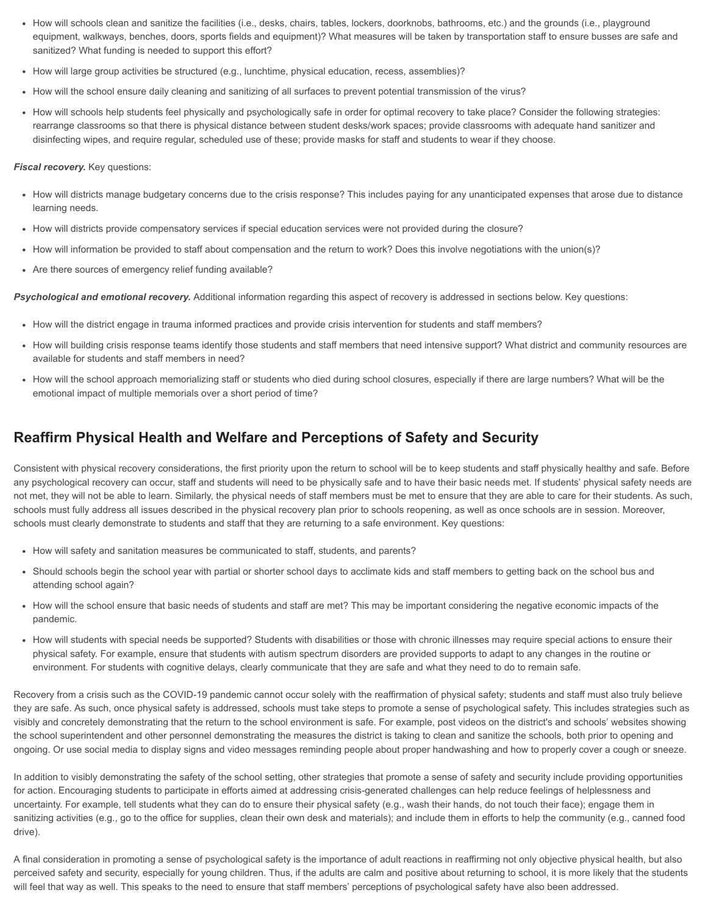- How will schools clean and sanitize the facilities (i.e., desks, chairs, tables, lockers, doorknobs, bathrooms, etc.) and the grounds (i.e., playground equipment, walkways, benches, doors, sports fields and equipment)? What measures will be taken by transportation staff to ensure busses are safe and sanitized? What funding is needed to support this effort?
- How will large group activities be structured (e.g., lunchtime, physical education, recess, assemblies)?
- How will the school ensure daily cleaning and sanitizing of all surfaces to prevent potential transmission of the virus?
- How will schools help students feel physically and psychologically safe in order for optimal recovery to take place? Consider the following strategies: rearrange classrooms so that there is physical distance between student desks/work spaces; provide classrooms with adequate hand sanitizer and disinfecting wipes, and require regular, scheduled use of these; provide masks for staff and students to wear if they choose.

#### *Fiscal recovery.* Key questions:

- How will districts manage budgetary concerns due to the crisis response? This includes paying for any unanticipated expenses that arose due to distance learning needs.
- How will districts provide compensatory services if special education services were not provided during the closure?
- How will information be provided to staff about compensation and the return to work? Does this involve negotiations with the union(s)?
- Are there sources of emergency relief funding available?

*Psychological and emotional recovery.* Additional information regarding this aspect of recovery is addressed in sections below. Key questions:

- How will the district engage in trauma informed practices and provide crisis intervention for students and staff members?
- How will building crisis response teams identify those students and staff members that need intensive support? What district and community resources are available for students and staff members in need?
- How will the school approach memorializing staff or students who died during school closures, especially if there are large numbers? What will be the emotional impact of multiple memorials over a short period of time?

#### **Reaffirm Physical Health and Welfare and Perceptions of Safety and Security**

Consistent with physical recovery considerations, the first priority upon the return to school will be to keep students and staff physically healthy and safe. Before any psychological recovery can occur, staff and students will need to be physically safe and to have their basic needs met. If students' physical safety needs are not met, they will not be able to learn. Similarly, the physical needs of staff members must be met to ensure that they are able to care for their students. As such, schools must fully address all issues described in the physical recovery plan prior to schools reopening, as well as once schools are in session. Moreover, schools must clearly demonstrate to students and staff that they are returning to a safe environment. Key questions:

- How will safety and sanitation measures be communicated to staff, students, and parents?
- Should schools begin the school year with partial or shorter school days to acclimate kids and staff members to getting back on the school bus and attending school again?
- How will the school ensure that basic needs of students and staff are met? This may be important considering the negative economic impacts of the pandemic.
- How will students with special needs be supported? Students with disabilities or those with chronic illnesses may require special actions to ensure their physical safety. For example, ensure that students with autism spectrum disorders are provided supports to adapt to any changes in the routine or environment. For students with cognitive delays, clearly communicate that they are safe and what they need to do to remain safe.

Recovery from a crisis such as the COVID-19 pandemic cannot occur solely with the reaffirmation of physical safety; students and staff must also truly believe they are safe. As such, once physical safety is addressed, schools must take steps to promote a sense of psychological safety. This includes strategies such as visibly and concretely demonstrating that the return to the school environment is safe. For example, post videos on the district's and schools' websites showing the school superintendent and other personnel demonstrating the measures the district is taking to clean and sanitize the schools, both prior to opening and ongoing. Or use social media to display signs and video messages reminding people about proper handwashing and how to properly cover a cough or sneeze.

In addition to visibly demonstrating the safety of the school setting, other strategies that promote a sense of safety and security include providing opportunities for action. Encouraging students to participate in efforts aimed at addressing crisis-generated challenges can help reduce feelings of helplessness and uncertainty. For example, tell students what they can do to ensure their physical safety (e.g., wash their hands, do not touch their face); engage them in sanitizing activities (e.g., go to the office for supplies, clean their own desk and materials); and include them in efforts to help the community (e.g., canned food drive).

A final consideration in promoting a sense of psychological safety is the importance of adult reactions in reaffirming not only objective physical health, but also perceived safety and security, especially for young children. Thus, if the adults are calm and positive about returning to school, it is more likely that the students will feel that way as well. This speaks to the need to ensure that staff members' perceptions of psychological safety have also been addressed.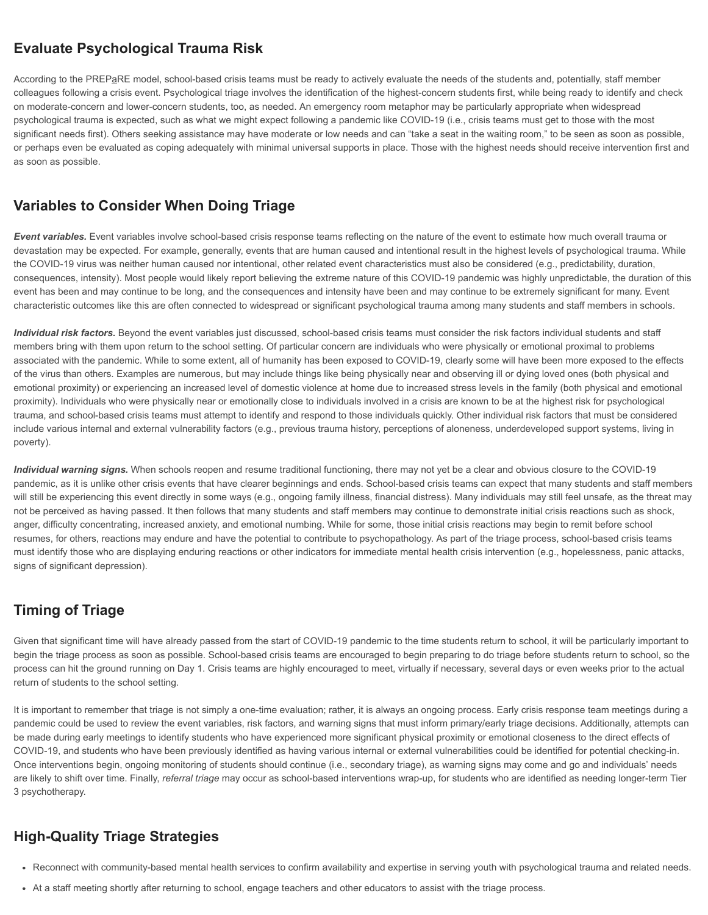### **Evaluate Psychological Trauma Risk**

According to the PREPaRE model, school-based crisis teams must be ready to actively evaluate the needs of the students and, potentially, staff member colleagues following a crisis event. Psychological triage involves the identification of the highest-concern students first, while being ready to identify and check on moderate-concern and lower-concern students, too, as needed. An emergency room metaphor may be particularly appropriate when widespread psychological trauma is expected, such as what we might expect following a pandemic like COVID-19 (i.e., crisis teams must get to those with the most significant needs first). Others seeking assistance may have moderate or low needs and can "take a seat in the waiting room," to be seen as soon as possible, or perhaps even be evaluated as coping adequately with minimal universal supports in place. Those with the highest needs should receive intervention first and as soon as possible.

### **Variables to Consider When Doing Triage**

*Event variables.* Event variables involve school-based crisis response teams reflecting on the nature of the event to estimate how much overall trauma or devastation may be expected. For example, generally, events that are human caused and intentional result in the highest levels of psychological trauma. While the COVID-19 virus was neither human caused nor intentional, other related event characteristics must also be considered (e.g., predictability, duration, consequences, intensity). Most people would likely report believing the extreme nature of this COVID-19 pandemic was highly unpredictable, the duration of this event has been and may continue to be long, and the consequences and intensity have been and may continue to be extremely significant for many. Event characteristic outcomes like this are often connected to widespread or significant psychological trauma among many students and staff members in schools.

Individual risk factors. Beyond the event variables just discussed, school-based crisis teams must consider the risk factors individual students and staff members bring with them upon return to the school setting. Of particular concern are individuals who were physically or emotional proximal to problems associated with the pandemic. While to some extent, all of humanity has been exposed to COVID-19, clearly some will have been more exposed to the effects of the virus than others. Examples are numerous, but may include things like being physically near and observing ill or dying loved ones (both physical and emotional proximity) or experiencing an increased level of domestic violence at home due to increased stress levels in the family (both physical and emotional proximity). Individuals who were physically near or emotionally close to individuals involved in a crisis are known to be at the highest risk for psychological trauma, and school-based crisis teams must attempt to identify and respond to those individuals quickly. Other individual risk factors that must be considered include various internal and external vulnerability factors (e.g., previous trauma history, perceptions of aloneness, underdeveloped support systems, living in poverty).

*Individual warning signs.* When schools reopen and resume traditional functioning, there may not yet be a clear and obvious closure to the COVID-19 pandemic, as it is unlike other crisis events that have clearer beginnings and ends. School-based crisis teams can expect that many students and staff members will still be experiencing this event directly in some ways (e.g., ongoing family illness, financial distress). Many individuals may still feel unsafe, as the threat may not be perceived as having passed. It then follows that many students and staff members may continue to demonstrate initial crisis reactions such as shock, anger, difficulty concentrating, increased anxiety, and emotional numbing. While for some, those initial crisis reactions may begin to remit before school resumes, for others, reactions may endure and have the potential to contribute to psychopathology. As part of the triage process, school-based crisis teams must identify those who are displaying enduring reactions or other indicators for immediate mental health crisis intervention (e.g., hopelessness, panic attacks, signs of significant depression).

## **Timing of Triage**

Given that significant time will have already passed from the start of COVID-19 pandemic to the time students return to school, it will be particularly important to begin the triage process as soon as possible. School-based crisis teams are encouraged to begin preparing to do triage before students return to school, so the process can hit the ground running on Day 1. Crisis teams are highly encouraged to meet, virtually if necessary, several days or even weeks prior to the actual return of students to the school setting.

It is important to remember that triage is not simply a one-time evaluation; rather, it is always an ongoing process. Early crisis response team meetings during a pandemic could be used to review the event variables, risk factors, and warning signs that must inform primary/early triage decisions. Additionally, attempts can be made during early meetings to identify students who have experienced more significant physical proximity or emotional closeness to the direct effects of COVID-19, and students who have been previously identified as having various internal or external vulnerabilities could be identified for potential checking-in. Once interventions begin, ongoing monitoring of students should continue (i.e., secondary triage), as warning signs may come and go and individuals' needs are likely to shift over time. Finally, *referral triage* may occur as school-based interventions wrap-up, for students who are identified as needing longer-term Tier 3 psychotherapy.

### **High-Quality Triage Strategies**

- Reconnect with community-based mental health services to confirm availability and expertise in serving youth with psychological trauma and related needs.
- At a staff meeting shortly after returning to school, engage teachers and other educators to assist with the triage process.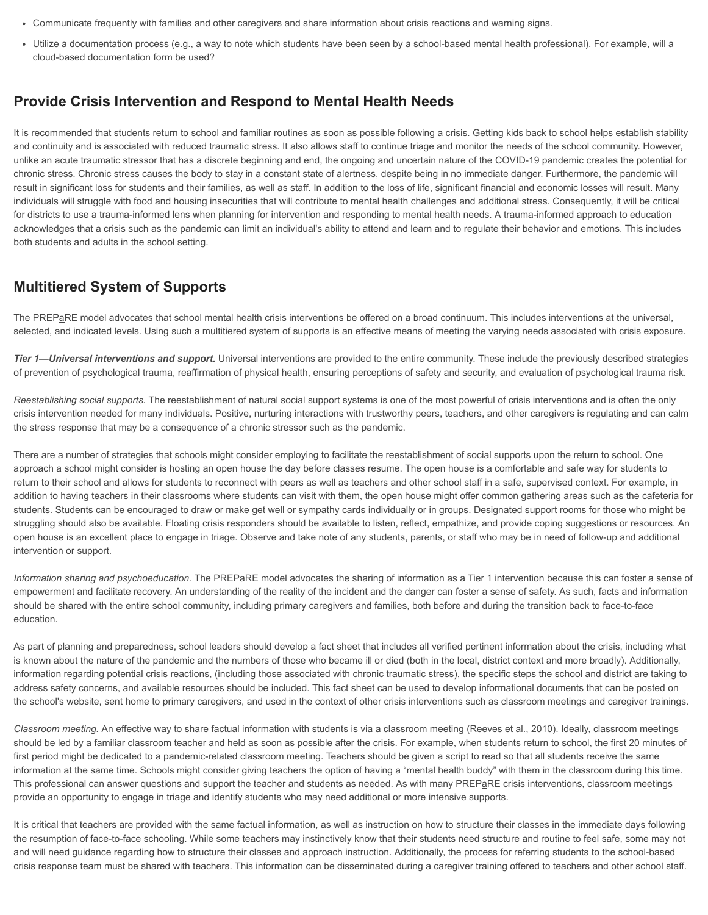- Communicate frequently with families and other caregivers and share information about crisis reactions and warning signs.
- Utilize a documentation process (e.g., a way to note which students have been seen by a school-based mental health professional). For example, will a cloud-based documentation form be used?

#### **Provide Crisis Intervention and Respond to Mental Health Needs**

It is recommended that students return to school and familiar routines as soon as possible following a crisis. Getting kids back to school helps establish stability and continuity and is associated with reduced traumatic stress. It also allows staff to continue triage and monitor the needs of the school community. However, unlike an acute traumatic stressor that has a discrete beginning and end, the ongoing and uncertain nature of the COVID-19 pandemic creates the potential for chronic stress. Chronic stress causes the body to stay in a constant state of alertness, despite being in no immediate danger. Furthermore, the pandemic will result in significant loss for students and their families, as well as staff. In addition to the loss of life, significant financial and economic losses will result. Many individuals will struggle with food and housing insecurities that will contribute to mental health challenges and additional stress. Consequently, it will be critical for districts to use a trauma-informed lens when planning for intervention and responding to mental health needs. A trauma-informed approach to education acknowledges that a crisis such as the pandemic can limit an individual's ability to attend and learn and to regulate their behavior and emotions. This includes both students and adults in the school setting.

#### **Multitiered System of Supports**

The PREPaRE model advocates that school mental health crisis interventions be offered on a broad continuum. This includes interventions at the universal, selected, and indicated levels. Using such a multitiered system of supports is an effective means of meeting the varying needs associated with crisis exposure.

*Tier 1—Universal interventions and support.* Universal interventions are provided to the entire community. These include the previously described strategies of prevention of psychological trauma, reaffirmation of physical health, ensuring perceptions of safety and security, and evaluation of psychological trauma risk.

*Reestablishing social supports.* The reestablishment of natural social support systems is one of the most powerful of crisis interventions and is often the only crisis intervention needed for many individuals. Positive, nurturing interactions with trustworthy peers, teachers, and other caregivers is regulating and can calm the stress response that may be a consequence of a chronic stressor such as the pandemic.

There are a number of strategies that schools might consider employing to facilitate the reestablishment of social supports upon the return to school. One approach a school might consider is hosting an open house the day before classes resume. The open house is a comfortable and safe way for students to return to their school and allows for students to reconnect with peers as well as teachers and other school staff in a safe, supervised context. For example, in addition to having teachers in their classrooms where students can visit with them, the open house might offer common gathering areas such as the cafeteria for students. Students can be encouraged to draw or make get well or sympathy cards individually or in groups. Designated support rooms for those who might be struggling should also be available. Floating crisis responders should be available to listen, reflect, empathize, and provide coping suggestions or resources. An open house is an excellent place to engage in triage. Observe and take note of any students, parents, or staff who may be in need of follow-up and additional intervention or support.

*Information sharing and psychoeducation.* The PREPaRE model advocates the sharing of information as a Tier 1 intervention because this can foster a sense of empowerment and facilitate recovery. An understanding of the reality of the incident and the danger can foster a sense of safety. As such, facts and information should be shared with the entire school community, including primary caregivers and families, both before and during the transition back to face-to-face education.

As part of planning and preparedness, school leaders should develop a fact sheet that includes all verified pertinent information about the crisis, including what is known about the nature of the pandemic and the numbers of those who became ill or died (both in the local, district context and more broadly). Additionally, information regarding potential crisis reactions, (including those associated with chronic traumatic stress), the specific steps the school and district are taking to address safety concerns, and available resources should be included. This fact sheet can be used to develop informational documents that can be posted on the school's website, sent home to primary caregivers, and used in the context of other crisis interventions such as classroom meetings and caregiver trainings.

*Classroom meeting.* An effective way to share factual information with students is via a classroom meeting (Reeves et al., 2010). Ideally, classroom meetings should be led by a familiar classroom teacher and held as soon as possible after the crisis. For example, when students return to school, the first 20 minutes of first period might be dedicated to a pandemic-related classroom meeting. Teachers should be given a script to read so that all students receive the same information at the same time. Schools might consider giving teachers the option of having a "mental health buddy" with them in the classroom during this time. This professional can answer questions and support the teacher and students as needed. As with many PREPaRE crisis interventions, classroom meetings provide an opportunity to engage in triage and identify students who may need additional or more intensive supports.

It is critical that teachers are provided with the same factual information, as well as instruction on how to structure their classes in the immediate days following the resumption of face-to-face schooling. While some teachers may instinctively know that their students need structure and routine to feel safe, some may not and will need guidance regarding how to structure their classes and approach instruction. Additionally, the process for referring students to the school-based crisis response team must be shared with teachers. This information can be disseminated during a caregiver training offered to teachers and other school staff.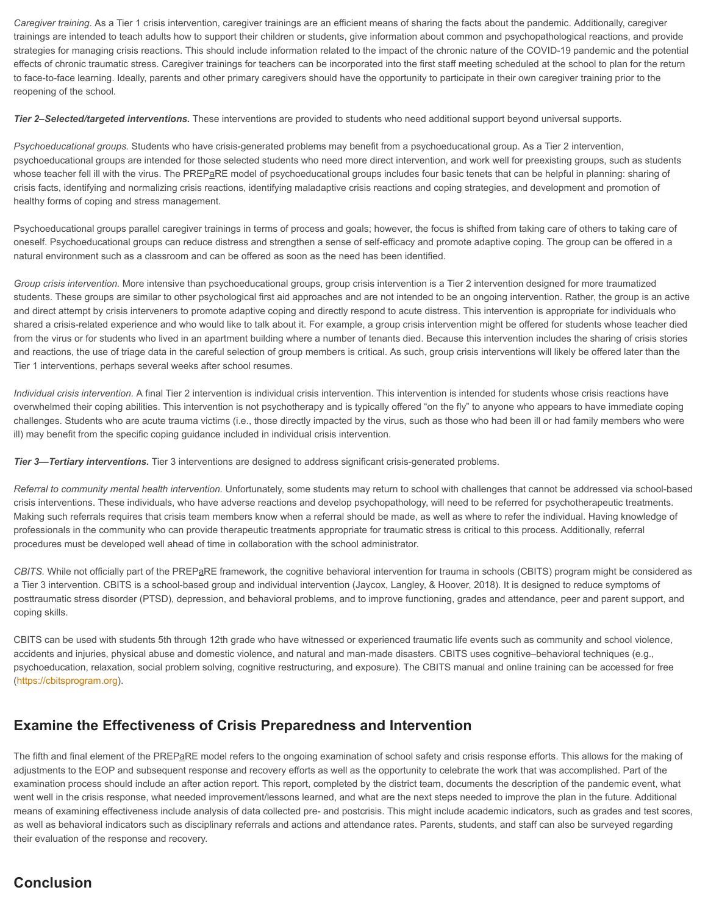*Caregiver training*. As a Tier 1 crisis intervention, caregiver trainings are an efficient means of sharing the facts about the pandemic. Additionally, caregiver trainings are intended to teach adults how to support their children or students, give information about common and psychopathological reactions, and provide strategies for managing crisis reactions. This should include information related to the impact of the chronic nature of the COVID-19 pandemic and the potential effects of chronic traumatic stress. Caregiver trainings for teachers can be incorporated into the first staff meeting scheduled at the school to plan for the return to face-to-face learning. Ideally, parents and other primary caregivers should have the opportunity to participate in their own caregiver training prior to the reopening of the school.

**Tier 2–Selected/targeted interventions.** These interventions are provided to students who need additional support beyond universal supports.

*Psychoeducational groups.* Students who have crisis-generated problems may benefit from a psychoeducational group. As a Tier 2 intervention, psychoeducational groups are intended for those selected students who need more direct intervention, and work well for preexisting groups, such as students whose teacher fell ill with the virus. The PREPaRE model of psychoeducational groups includes four basic tenets that can be helpful in planning: sharing of crisis facts, identifying and normalizing crisis reactions, identifying maladaptive crisis reactions and coping strategies, and development and promotion of healthy forms of coping and stress management.

Psychoeducational groups parallel caregiver trainings in terms of process and goals; however, the focus is shifted from taking care of others to taking care of oneself. Psychoeducational groups can reduce distress and strengthen a sense of self-efficacy and promote adaptive coping. The group can be offered in a natural environment such as a classroom and can be offered as soon as the need has been identified.

*Group crisis intervention.* More intensive than psychoeducational groups, group crisis intervention is a Tier 2 intervention designed for more traumatized students. These groups are similar to other psychological first aid approaches and are not intended to be an ongoing intervention. Rather, the group is an active and direct attempt by crisis interveners to promote adaptive coping and directly respond to acute distress. This intervention is appropriate for individuals who shared a crisis-related experience and who would like to talk about it. For example, a group crisis intervention might be offered for students whose teacher died from the virus or for students who lived in an apartment building where a number of tenants died. Because this intervention includes the sharing of crisis stories and reactions, the use of triage data in the careful selection of group members is critical. As such, group crisis interventions will likely be offered later than the Tier 1 interventions, perhaps several weeks after school resumes.

*Individual crisis intervention.* A final Tier 2 intervention is individual crisis intervention. This intervention is intended for students whose crisis reactions have overwhelmed their coping abilities. This intervention is not psychotherapy and is typically offered "on the fly" to anyone who appears to have immediate coping challenges. Students who are acute trauma victims (i.e., those directly impacted by the virus, such as those who had been ill or had family members who were ill) may benefit from the specific coping guidance included in individual crisis intervention.

*Tier 3—Tertiary interventions.* Tier 3 interventions are designed to address significant crisis-generated problems.

*Referral to community mental health intervention.* Unfortunately, some students may return to school with challenges that cannot be addressed via school-based crisis interventions. These individuals, who have adverse reactions and develop psychopathology, will need to be referred for psychotherapeutic treatments. Making such referrals requires that crisis team members know when a referral should be made, as well as where to refer the individual. Having knowledge of professionals in the community who can provide therapeutic treatments appropriate for traumatic stress is critical to this process. Additionally, referral procedures must be developed well ahead of time in collaboration with the school administrator.

CBITS. While not officially part of the PREPaRE framework, the cognitive behavioral intervention for trauma in schools (CBITS) program might be considered as a Tier 3 intervention. CBITS is a school-based group and individual intervention (Jaycox, Langley, & Hoover, 2018). It is designed to reduce symptoms of posttraumatic stress disorder (PTSD), depression, and behavioral problems, and to improve functioning, grades and attendance, peer and parent support, and coping skills.

CBITS can be used with students 5th through 12th grade who have witnessed or experienced traumatic life events such as community and school violence, accidents and injuries, physical abuse and domestic violence, and natural and man-made disasters. CBITS uses cognitive–behavioral techniques (e.g., psychoeducation, relaxation, social problem solving, cognitive restructuring, and exposure). The CBITS manual and online training can be accessed for free ([https://cbitsprogram.org\)](https://cbitsprogram.org/).

#### **Examine the Effectiveness of Crisis Preparedness and Intervention**

The fifth and final element of the PREPaRE model refers to the ongoing examination of school safety and crisis response efforts. This allows for the making of adjustments to the EOP and subsequent response and recovery efforts as well as the opportunity to celebrate the work that was accomplished. Part of the examination process should include an after action report. This report, completed by the district team, documents the description of the pandemic event, what went well in the crisis response, what needed improvement/lessons learned, and what are the next steps needed to improve the plan in the future. Additional means of examining effectiveness include analysis of data collected pre- and postcrisis. This might include academic indicators, such as grades and test scores, as well as behavioral indicators such as disciplinary referrals and actions and attendance rates. Parents, students, and staff can also be surveyed regarding their evaluation of the response and recovery.

### **Conclusion**